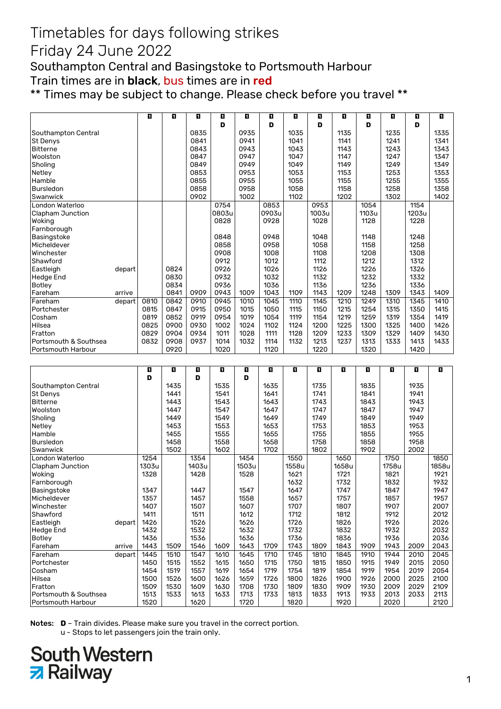### Friday 24 June 2022

Southampton Central and Basingstoke to Portsmouth Harbour Train times are in **black**, bus times are in red

\*\* Times may be subject to change. Please check before you travel \*\*

|                         |        | O            | O    | П            | O     | O            | п     | O            | O     | O            | O     | п            | П     | O            |
|-------------------------|--------|--------------|------|--------------|-------|--------------|-------|--------------|-------|--------------|-------|--------------|-------|--------------|
|                         |        |              |      |              | D     |              | D     |              | D     |              | D     |              | D     |              |
| Southampton Central     |        |              |      | 0835         |       | 0935         |       | 1035         |       | 1135         |       | 1235         |       | 1335         |
| St Denys                |        |              |      | 0841         |       | 0941         |       | 1041         |       | 1141         |       | 1241         |       | 1341         |
| <b>Bitterne</b>         |        |              |      | 0843         |       | 0943         |       | 1043         |       | 1143         |       | 1243         |       | 1343         |
| Woolston                |        |              |      | 0847         |       | 0947         |       | 1047         |       | 1147         |       | 1247         |       | 1347         |
| Sholing                 |        |              |      | 0849         |       | 0949         |       | 1049         |       | 1149         |       | 1249         |       | 1349         |
| Netley                  |        |              |      | 0853         |       | 0953         |       | 1053         |       | 1153         |       | 1253         |       | 1353         |
| Hamble                  |        |              |      | 0855         |       | 0955         |       | 1055         |       | 1155         |       | 1255         |       | 1355         |
| <b>Bursledon</b>        |        |              |      | 0858         |       | 0958         |       | 1058         |       | 1158         |       | 1258         |       | 1358         |
| Swanwick                |        |              |      | 0902         |       | 1002         |       | 1102         |       | 1202         |       | 1302         |       | 1402         |
| London Waterloo         |        |              |      |              | 0754  |              | 0853  |              | 0953  |              | 1054  |              | 1154  |              |
| <b>Clapham Junction</b> |        |              |      |              | 0803u |              | 0903u |              | 1003u |              | 1103u |              | 1203u |              |
| Woking                  |        |              |      |              | 0828  |              | 0928  |              | 1028  |              | 1128  |              | 1228  |              |
| Farnborough             |        |              |      |              |       |              |       |              |       |              |       |              |       |              |
| Basingstoke             |        |              |      |              | 0848  |              | 0948  |              | 1048  |              | 1148  |              | 1248  |              |
| Micheldever             |        |              |      |              | 0858  |              | 0958  |              | 1058  |              | 1158  |              | 1258  |              |
| Winchester              |        |              |      |              | 0908  |              | 1008  |              | 1108  |              | 1208  |              | 1308  |              |
| Shawford                |        |              |      |              | 0912  |              | 1012  |              | 1112  |              | 1212  |              | 1312  |              |
| Eastleigh               | depart |              | 0824 |              | 0926  |              | 1026  |              | 1126  |              | 1226  |              | 1326  |              |
| <b>Hedge End</b>        |        |              | 0830 |              | 0932  |              | 1032  |              | 1132  |              | 1232  |              | 1332  |              |
| Botley                  |        |              | 0834 |              | 0936  |              | 1036  |              | 1136  |              | 1236  |              | 1336  |              |
| Fareham                 | arrive |              | 0841 | 0909         | 0943  | 1009         | 1043  | 1109         | 1143  | 1209         | 1248  | 1309         | 1343  | 1409         |
| Fareham                 | depart | 0810         | 0842 | 0910         | 0945  | 1010         | 1045  | 1110         | 1145  | 1210         | 1249  | 1310         | 1345  | 1410         |
| Portchester             |        | 0815         | 0847 | 0915         | 0950  | 1015         | 1050  | 1115         | 1150  | 1215         | 1254  | 1315         | 1350  | 1415         |
| Cosham                  |        | 0819         | 0852 | 0919         | 0954  | 1019         | 1054  | 1119         | 1154  | 1219         | 1259  | 1319         | 1354  | 1419         |
| Hilsea                  |        | 0825         | 0900 | 0930         | 1002  | 1024         | 1102  | 1124         | 1200  | 1225         | 1300  | 1325         | 1400  | 1426         |
| Fratton                 |        | 0829         | 0904 | 0934         | 1011  | 1028         | 1111  | 1128         | 1209  | 1233         | 1309  | 1329         | 1409  | 1430         |
| Portsmouth & Southsea   |        | 0832         | 0908 | 0937         | 1014  | 1032         | 1114  | 1132         | 1213  | 1237         | 1313  | 1333         | 1413  | 1433         |
| Portsmouth Harbour      |        |              | 0920 |              | 1020  |              | 1120  |              | 1220  |              | 1320  |              | 1420  |              |
|                         |        |              |      |              |       |              |       |              |       |              |       |              |       |              |
|                         |        |              |      |              |       |              |       |              |       |              |       |              |       |              |
|                         |        | O            | п    | ū            | O     | O            | D.    | D.           | O     | П            | п     | п            | O     | O            |
|                         |        | D            |      | D            |       | D            |       |              |       |              |       |              |       |              |
| Southampton Central     |        |              | 1435 |              | 1535  |              | 1635  |              | 1735  |              | 1835  |              | 1935  |              |
| <b>St Denys</b>         |        |              | 1441 |              | 1541  |              | 1641  |              | 1741  |              | 1841  |              | 1941  |              |
| <b>Bitterne</b>         |        |              | 1443 |              | 1543  |              | 1643  |              | 1743  |              | 1843  |              | 1943  |              |
| Woolston                |        |              | 1447 |              | 1547  |              | 1647  |              | 1747  |              | 1847  |              | 1947  |              |
| Sholing                 |        |              | 1449 |              | 1549  |              | 1649  |              | 1749  |              | 1849  |              | 1949  |              |
| Netley                  |        |              | 1453 |              | 1553  |              | 1653  |              | 1753  |              | 1853  |              | 1953  |              |
| Hamble                  |        |              | 1455 |              | 1555  |              | 1655  |              | 1755  |              | 1855  |              | 1955  |              |
| Bursledon               |        |              | 1458 |              | 1558  |              | 1658  |              | 1758  |              | 1858  |              | 1958  |              |
| Swanwick                |        |              | 1502 |              | 1602  |              | 1702  |              | 1802  |              | 1902  |              | 2002  |              |
| London Waterloo         |        | 1254         |      | 1354         |       | 1454         |       | 1550         |       | 1650         |       | 1750         |       | 1850         |
| <b>Clapham Junction</b> |        | 1303u        |      | 1403u        |       | 1503u        |       | 1558u        |       | 1658u        |       | 1758u        |       | 1858u        |
| Woking                  |        | 1328         |      | 1428         |       | 1528         |       | 1621         |       | 1721         |       | 1821         |       | 1921         |
| Farnborough             |        |              |      |              |       |              |       | 1632         |       | 1732         |       | 1832         |       | 1932         |
| Basingstoke             |        | 1347         |      | 1447         |       | 1547         |       | 1647         |       | 1747         |       | 1847         |       | 1947         |
| Micheldever             |        | 1357         |      | 1457         |       | 1558         |       | 1657         |       | 1757         |       | 1857         |       | 1957         |
| Winchester              |        | 1407         |      | 1507         |       | 1607         |       | 1707         |       | 1807         |       | 1907         |       | 2007         |
| Shawford                |        | 1411         |      | 1511         |       | 1612         |       | 1712         |       | 1812         |       | 1912         |       | 2012         |
| Eastleigh               | depart | 1426         |      | 1526         |       | 1626         |       | 1726         |       | 1826         |       | 1926         |       | 2026         |
| <b>Hedge End</b>        |        | 1432         |      | 1532         |       | 1632         |       | 1732         |       | 1832         |       | 1932         |       | 2032         |
| Botley                  |        | 1436         |      | 1536         |       | 1636         |       | 1736         |       | 1836         |       | 1936         |       | 2036         |
| Fareham                 | arrive | 1443         | 1509 | 1546         | 1609  | 1643         | 1709  | 1743         | 1809  | 1843         | 1909  | 1943         | 2009  | 2043         |
| Fareham                 | depart | 1445         | 1510 | 1547         | 1610  | 1645         | 1710  | 1745         | 1810  | 1845         | 1910  | 1944         | 2010  | 2045         |
| Portchester             |        | 1450         | 1515 | 1552         | 1615  | 1650         | 1715  | 1750         | 1815  | 1850         | 1915  | 1949         | 2015  | 2050         |
| Cosham                  |        | 1454         | 1519 | 1557         | 1619  | 1654         | 1719  | 1754         | 1819  | 1854         | 1919  | 1954         | 2019  | 2054         |
| Hilsea                  |        | 1500         | 1526 | 1600         | 1626  | 1659         | 1726  | 1800         | 1826  | 1900         | 1926  | 2000         | 2025  | 2100         |
| Fratton                 |        | 1509         | 1530 | 1609         | 1630  | 1708         | 1730  | 1809         | 1830  | 1909         | 1930  | 2009         | 2029  | 2109         |
| Portsmouth & Southsea   |        | 1513<br>1520 | 1533 | 1613<br>1620 | 1633  | 1713<br>1720 | 1733  | 1813<br>1820 | 1833  | 1913<br>1920 | 1933  | 2013<br>2020 | 2033  | 2113<br>2120 |

Notes: **D** – Train divides. Please make sure you travel in the correct portion. u - Stops to let passengers join the train only.

# **South Western z** Railway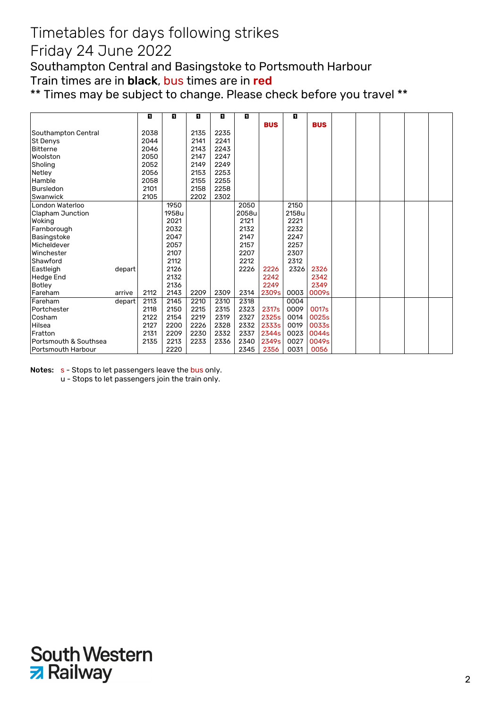#### Friday 24 June 2022

Southampton Central and Basingstoke to Portsmouth Harbour Train times are in **black**, bus times are in red

\*\* Times may be subject to change. Please check before you travel \*\*

|                       |        | П    | п     | O    | O    | O     |            | П     |            |  |  |  |
|-----------------------|--------|------|-------|------|------|-------|------------|-------|------------|--|--|--|
|                       |        |      |       |      |      |       | <b>BUS</b> |       | <b>BUS</b> |  |  |  |
| Southampton Central   |        | 2038 |       | 2135 | 2235 |       |            |       |            |  |  |  |
| St Denys              |        | 2044 |       | 2141 | 2241 |       |            |       |            |  |  |  |
| Bitterne              |        | 2046 |       | 2143 | 2243 |       |            |       |            |  |  |  |
| Woolston              |        | 2050 |       | 2147 | 2247 |       |            |       |            |  |  |  |
| Sholing               |        | 2052 |       | 2149 | 2249 |       |            |       |            |  |  |  |
| Netley                |        | 2056 |       | 2153 | 2253 |       |            |       |            |  |  |  |
| Hamble                |        | 2058 |       | 2155 | 2255 |       |            |       |            |  |  |  |
| Bursledon             |        | 2101 |       | 2158 | 2258 |       |            |       |            |  |  |  |
| Swanwick              |        | 2105 |       | 2202 | 2302 |       |            |       |            |  |  |  |
| London Waterloo       |        |      | 1950  |      |      | 2050  |            | 2150  |            |  |  |  |
| Clapham Junction      |        |      | 1958u |      |      | 2058u |            | 2158u |            |  |  |  |
| Woking                |        |      | 2021  |      |      | 2121  |            | 2221  |            |  |  |  |
| Farnborough           |        |      | 2032  |      |      | 2132  |            | 2232  |            |  |  |  |
| Basingstoke           |        |      | 2047  |      |      | 2147  |            | 2247  |            |  |  |  |
| Micheldever           |        |      | 2057  |      |      | 2157  |            | 2257  |            |  |  |  |
| Winchester            |        |      | 2107  |      |      | 2207  |            | 2307  |            |  |  |  |
| Shawford              |        |      | 2112  |      |      | 2212  |            | 2312  |            |  |  |  |
| Eastleigh             | depart |      | 2126  |      |      | 2226  | 2226       | 2326  | 2326       |  |  |  |
| Hedge End             |        |      | 2132  |      |      |       | 2242       |       | 2342       |  |  |  |
| Botley                |        |      | 2136  |      |      |       | 2249       |       | 2349       |  |  |  |
| Fareham               | arrive | 2112 | 2143  | 2209 | 2309 | 2314  | 2309s      | 0003  | 0009s      |  |  |  |
| Fareham               | depart | 2113 | 2145  | 2210 | 2310 | 2318  |            | 0004  |            |  |  |  |
| Portchester           |        | 2118 | 2150  | 2215 | 2315 | 2323  | 2317s      | 0009  | 0017s      |  |  |  |
| Cosham                |        | 2122 | 2154  | 2219 | 2319 | 2327  | 2325s      | 0014  | 0025s      |  |  |  |
| Hilsea                |        | 2127 | 2200  | 2226 | 2328 | 2332  | 2333s      | 0019  | 0033s      |  |  |  |
| Fratton               |        | 2131 | 2209  | 2230 | 2332 | 2337  | 2344s      | 0023  | 0044s      |  |  |  |
| Portsmouth & Southsea |        | 2135 | 2213  | 2233 | 2336 | 2340  | 2349s      | 0027  | 0049s      |  |  |  |
| Portsmouth Harbour    |        |      | 2220  |      |      | 2345  | 2356       | 0031  | 0056       |  |  |  |

Notes: s - Stops to let passengers leave the bus only.

u - Stops to let passengers join the train only.

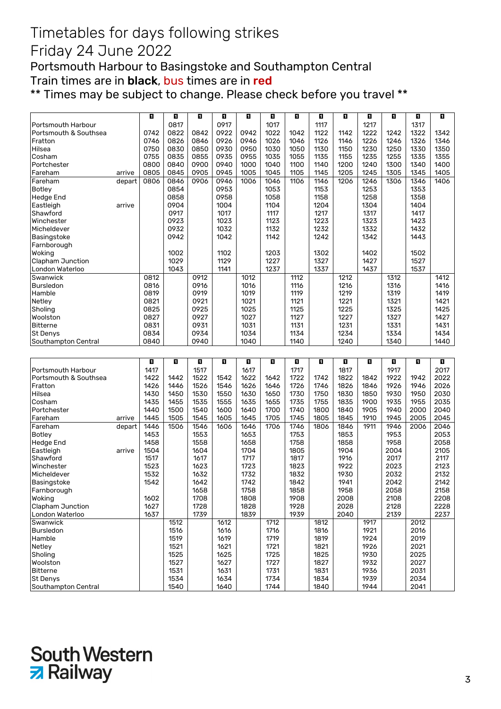#### Friday 24 June 2022

Portsmouth Harbour to Basingstoke and Southampton Central Train times are in **black**, bus times are in red

\*\* Times may be subject to change. Please check before you travel \*\*

|                                 |        | O    | O            | ū    | ū            | П    | O            | O    | ū            | O    | П            | ū    | ū            | O    |
|---------------------------------|--------|------|--------------|------|--------------|------|--------------|------|--------------|------|--------------|------|--------------|------|
| Portsmouth Harbour              |        |      | 0817         |      | 0917         |      | 1017         |      | 1117         |      | 1217         |      | 1317         |      |
| Portsmouth & Southsea           |        | 0742 | 0822         | 0842 | 0922         | 0942 | 1022         | 1042 | 1122         | 1142 | 1222         | 1242 | 1322         | 1342 |
| Fratton                         |        | 0746 | 0826         | 0846 | 0926         | 0946 | 1026         | 1046 | 1126         | 1146 | 1226         | 1246 | 1326         | 1346 |
| Hilsea                          |        | 0750 | 0830         | 0850 | 0930         | 0950 | 1030         | 1050 | 1130         | 1150 | 1230         | 1250 | 1330         | 1350 |
| Cosham                          |        | 0755 | 0835         | 0855 | 0935         | 0955 | 1035         | 1055 | 1135         | 1155 | 1235         | 1255 | 1335         | 1355 |
| Portchester                     |        | 0800 | 0840         | 0900 | 0940         | 1000 | 1040         | 1100 | 1140         | 1200 | 1240         | 1300 | 1340         | 1400 |
| Fareham                         | arrive | 0805 | 0845         | 0905 | 0945         | 1005 | 1045         | 1105 | 1145         | 1205 | 1245         | 1305 | 1345         | 1405 |
| Fareham                         | depart | 0806 | 0846         | 0906 | 0946         | 1006 | 1046         | 1106 | 1146         | 1206 | 1246         | 1306 | 1346         | 1406 |
| <b>Botley</b>                   |        |      | 0854         |      | 0953         |      | 1053         |      | 1153         |      | 1253         |      | 1353         |      |
| <b>Hedge End</b>                |        |      | 0858         |      | 0958         |      | 1058         |      | 1158         |      | 1258         |      | 1358         |      |
| Eastleigh                       | arrive |      | 0904         |      | 1004         |      | 1104         |      | 1204         |      | 1304         |      | 1404         |      |
| Shawford                        |        |      | 0917         |      | 1017         |      | 1117         |      | 1217         |      | 1317         |      | 1417         |      |
| Winchester                      |        |      | 0923         |      | 1023         |      | 1123         |      | 1223         |      | 1323         |      | 1423         |      |
| Micheldever                     |        |      | 0932         |      | 1032         |      | 1132         |      | 1232         |      | 1332         |      | 1432         |      |
| Basingstoke                     |        |      | 0942         |      | 1042         |      | 1142         |      | 1242         |      | 1342         |      | 1443         |      |
| Farnborough                     |        |      |              |      |              |      |              |      |              |      |              |      |              |      |
| Woking                          |        |      | 1002         |      | 1102         |      | 1203         |      | 1302         |      | 1402         |      | 1502         |      |
| Clapham Junction                |        |      | 1029         |      | 1129         |      | 1227         |      | 1327         |      | 1427         |      | 1527         |      |
| London Waterloo                 |        |      | 1043         |      | 1141         |      | 1237         |      | 1337         |      | 1437         |      | 1537         |      |
| Swanwick                        |        | 0812 |              | 0912 |              | 1012 |              | 1112 |              | 1212 |              | 1312 |              | 1412 |
| <b>Bursledon</b>                |        | 0816 |              | 0916 |              | 1016 |              | 1116 |              | 1216 |              | 1316 |              | 1416 |
| Hamble                          |        | 0819 |              | 0919 |              | 1019 |              | 1119 |              | 1219 |              | 1319 |              | 1419 |
| Netley                          |        | 0821 |              | 0921 |              | 1021 |              | 1121 |              | 1221 |              | 1321 |              | 1421 |
| Sholing                         |        | 0825 |              | 0925 |              | 1025 |              | 1125 |              | 1225 |              | 1325 |              | 1425 |
| Woolston                        |        | 0827 |              | 0927 |              | 1027 |              | 1127 |              | 1227 |              | 1327 |              | 1427 |
| <b>Bitterne</b>                 |        | 0831 |              | 0931 |              | 1031 |              | 1131 |              | 1231 |              | 1331 |              | 1431 |
| St Denys                        |        | 0834 |              | 0934 |              | 1034 |              | 1134 |              | 1234 |              | 1334 |              | 1434 |
| Southampton Central             |        | 0840 |              | 0940 |              | 1040 |              | 1140 |              | 1240 |              | 1340 |              | 1440 |
|                                 |        |      |              |      |              |      |              |      |              |      |              |      |              |      |
|                                 |        |      |              |      |              |      |              |      |              |      |              |      |              |      |
|                                 |        |      |              |      |              |      |              |      |              |      |              |      |              |      |
|                                 |        | E.   | o            | ū    | ū            | П    | O            | ū    | Ð            | O    | O            | ū    | п            | ū    |
| Portsmouth Harbour              |        | 1417 |              | 1517 |              | 1617 |              | 1717 |              | 1817 |              | 1917 |              | 2017 |
| Portsmouth & Southsea           |        | 1422 | 1442         | 1522 | 1542         | 1622 | 1642         | 1722 | 1742         | 1822 | 1842         | 1922 | 1942         | 2022 |
| Fratton                         |        | 1426 | 1446         | 1526 | 1546         | 1626 | 1646         | 1726 | 1746         | 1826 | 1846         | 1926 | 1946         | 2026 |
| Hilsea                          |        | 1430 | 1450         | 1530 | 1550         | 1630 | 1650         | 1730 | 1750         | 1830 | 1850         | 1930 | 1950         | 2030 |
| Cosham                          |        | 1435 | 1455         | 1535 | 1555         | 1635 | 1655         | 1735 | 1755         | 1835 | 1900         | 1935 | 1955         | 2035 |
| Portchester                     |        | 1440 | 1500         | 1540 | 1600         | 1640 | 1700         | 1740 | 1800         | 1840 | 1905         | 1940 | 2000         | 2040 |
| Fareham                         | arrive | 1445 | 1505         | 1545 | 1605         | 1645 | 1705         | 1745 | 1805         | 1845 | 1910         | 1945 | 2005         | 2045 |
| Fareham                         | depart | 1446 | 1506         | 1546 | 1606         | 1646 | 1706         | 1746 | 1806         | 1846 | 1911         | 1946 | 2006         | 2046 |
| <b>Botley</b>                   |        | 1453 |              | 1553 |              | 1653 |              | 1753 |              | 1853 |              | 1953 |              | 2053 |
| <b>Hedge End</b>                |        | 1458 |              | 1558 |              | 1658 |              | 1758 |              | 1858 |              | 1958 |              | 2058 |
| Eastleigh                       | arrive | 1504 |              | 1604 |              | 1704 |              | 1805 |              | 1904 |              | 2004 |              | 2105 |
| Shawford                        |        | 1517 |              | 1617 |              | 1717 |              | 1817 |              | 1916 |              | 2017 |              | 2117 |
| Winchester                      |        | 1523 |              | 1623 |              | 1723 |              | 1823 |              | 1922 |              | 2023 |              | 2123 |
| Micheldever                     |        | 1532 |              | 1632 |              | 1732 |              | 1832 |              | 1930 |              | 2032 |              | 2132 |
| Basingstoke                     |        | 1542 |              | 1642 |              | 1742 |              | 1842 |              | 1941 |              | 2042 |              | 2142 |
| Farnborough                     |        |      |              | 1658 |              | 1758 |              | 1858 |              | 1958 |              | 2058 |              | 2158 |
| Woking                          |        | 1602 |              | 1708 |              | 1808 |              | 1908 |              | 2008 |              | 2108 |              | 2208 |
| Clapham Junction                |        | 1627 |              | 1728 |              | 1828 |              | 1928 |              | 2028 |              | 2128 |              | 2228 |
| London Waterloo                 |        | 1637 |              | 1739 |              | 1839 |              | 1939 |              | 2040 |              | 2139 |              | 2237 |
| Swanwick                        |        |      | 1512         |      | 1612         |      | 1712         |      | 1812         |      | 1917         |      | 2012         |      |
| <b>Bursledon</b>                |        |      | 1516         |      | 1616         |      | 1716         |      | 1816         |      | 1921         |      | 2016         |      |
| Hamble                          |        |      | 1519         |      | 1619         |      | 1719         |      | 1819         |      | 1924         |      | 2019         |      |
| Netley                          |        |      | 1521         |      | 1621         |      | 1721         |      | 1821         |      | 1926         |      | 2021         |      |
| Sholing                         |        |      | 1525         |      | 1625         |      | 1725         |      | 1825         |      | 1930         |      | 2025         |      |
| Woolston                        |        |      | 1527         |      | 1627         |      | 1727         |      | 1827         |      | 1932         |      | 2027         |      |
| <b>Bitterne</b>                 |        |      | 1531         |      | 1631         |      | 1731         |      | 1831         |      | 1936         |      | 2031         |      |
| St Denys<br>Southampton Central |        |      | 1534<br>1540 |      | 1634<br>1640 |      | 1734<br>1744 |      | 1834<br>1840 |      | 1939<br>1944 |      | 2034<br>2041 |      |